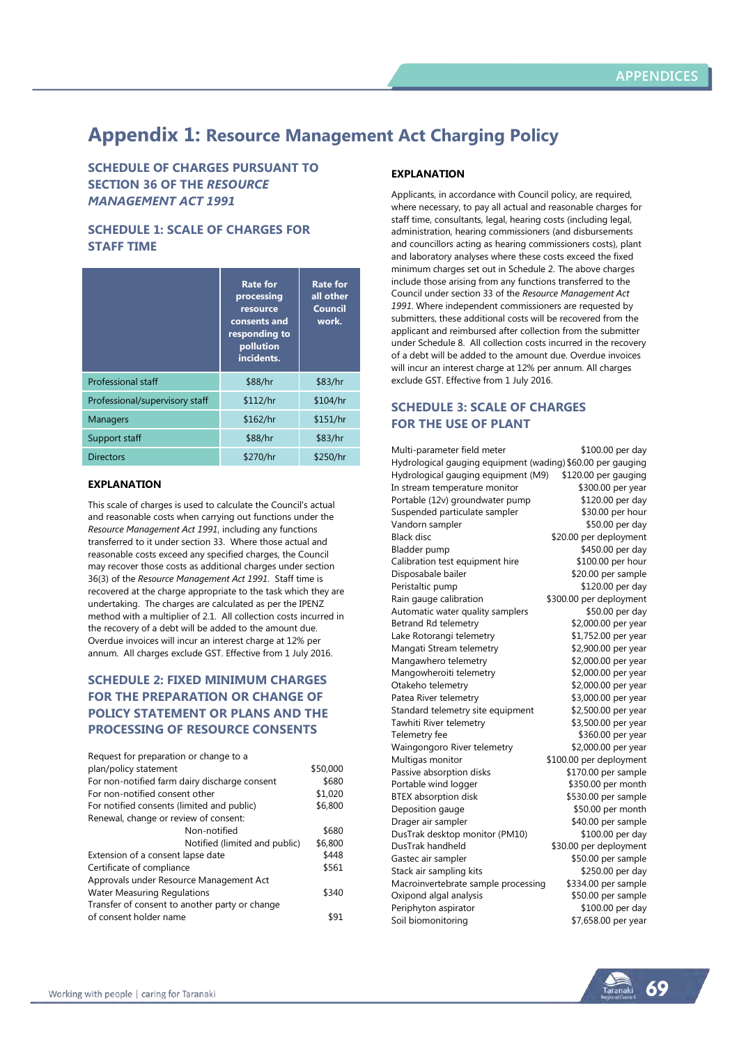# **Appendix 1: Resource Management Act Charging Policy**

**SCHEDULE OF CHARGES PURSUANT TO SECTION 36 OF THE** *RESOURCE MANAGEMENT ACT 1991*

# **SCHEDULE 1: SCALE OF CHARGES FOR STAFF TIME**

|                                | <b>Rate for</b><br>processing<br>resource<br>consents and<br>responding to<br>pollution<br>incidents. | <b>Rate for</b><br>all other<br><b>Council</b><br>work. |
|--------------------------------|-------------------------------------------------------------------------------------------------------|---------------------------------------------------------|
| <b>Professional staff</b>      | \$88/hr                                                                                               | \$83/hr                                                 |
| Professional/supervisory staff | \$112/hr                                                                                              | \$104/hr                                                |
| <b>Managers</b>                | \$162/hr                                                                                              | \$151/hr                                                |
| Support staff                  | \$88/hr                                                                                               | \$83/hr                                                 |
| <b>Directors</b>               | \$270/hr                                                                                              | \$250/hr                                                |

## **EXPLANATION**

This scale of charges is used to calculate the Council's actual and reasonable costs when carrying out functions under the *Resource Management Act 1991*, including any functions transferred to it under section 33. Where those actual and reasonable costs exceed any specified charges, the Council may recover those costs as additional charges under section 36(3) of the *Resource Management Act 1991*. Staff time is recovered at the charge appropriate to the task which they are undertaking. The charges are calculated as per the IPENZ method with a multiplier of 2.1. All collection costs incurred in the recovery of a debt will be added to the amount due. Overdue invoices will incur an interest charge at 12% per annum. All charges exclude GST. Effective from 1 July 2016.

# **SCHEDULE 2: FIXED MINIMUM CHARGES FOR THE PREPARATION OR CHANGE OF POLICY STATEMENT OR PLANS AND THE PROCESSING OF RESOURCE CONSENTS**

| Request for preparation or change to a         |          |
|------------------------------------------------|----------|
| plan/policy statement                          | \$50,000 |
| For non-notified farm dairy discharge consent  | \$680    |
| For non-notified consent other                 | \$1,020  |
| For notified consents (limited and public)     | \$6,800  |
| Renewal, change or review of consent:          |          |
| Non-notified                                   | \$680    |
| Notified (limited and public)                  | \$6,800  |
| Extension of a consent lapse date              | \$448    |
| Certificate of compliance                      | \$561    |
| Approvals under Resource Management Act        |          |
| <b>Water Measuring Regulations</b>             | \$340    |
| Transfer of consent to another party or change |          |
| of consent holder name                         | \$91     |

## **EXPLANATION**

Applicants, in accordance with Council policy, are required, where necessary, to pay all actual and reasonable charges for staff time, consultants, legal, hearing costs (including legal, administration, hearing commissioners (and disbursements and councillors acting as hearing commissioners costs), plant and laboratory analyses where these costs exceed the fixed minimum charges set out in Schedule 2. The above charges include those arising from any functions transferred to the Council under section 33 of the *Resource Management Act 1991*. Where independent commissioners are requested by submitters, these additional costs will be recovered from the applicant and reimbursed after collection from the submitter under Schedule 8. All collection costs incurred in the recovery of a debt will be added to the amount due. Overdue invoices will incur an interest charge at 12% per annum. All charges exclude GST. Effective from 1 July 2016.

# **SCHEDULE 3: SCALE OF CHARGES FOR THE USE OF PLANT**

| Multi-parameter field meter                                 | \$100.00 per day        |
|-------------------------------------------------------------|-------------------------|
| Hydrological gauging equipment (wading) \$60.00 per gauging |                         |
| Hydrological gauging equipment (M9)                         | \$120.00 per gauging    |
| In stream temperature monitor                               | \$300.00 per year       |
| Portable (12v) groundwater pump                             | \$120.00 per day        |
| Suspended particulate sampler                               | \$30.00 per hour        |
| Vandorn sampler                                             | \$50.00 per day         |
| <b>Black disc</b>                                           | \$20.00 per deployment  |
| Bladder pump                                                | \$450.00 per day        |
| Calibration test equipment hire                             | \$100.00 per hour       |
| Disposabale bailer                                          | \$20.00 per sample      |
| Peristaltic pump                                            | \$120.00 per day        |
| Rain gauge calibration                                      | \$300.00 per deployment |
| Automatic water quality samplers                            | \$50.00 per day         |
| Betrand Rd telemetry                                        | \$2,000.00 per year     |
| Lake Rotorangi telemetry                                    | \$1,752.00 per year     |
| Mangati Stream telemetry                                    | \$2,900.00 per year     |
| Mangawhero telemetry                                        | \$2,000.00 per year     |
| Mangowheroiti telemetry                                     | \$2,000.00 per year     |
| Otakeho telemetry                                           | \$2,000.00 per year     |
| Patea River telemetry                                       | \$3,000.00 per year     |
| Standard telemetry site equipment                           | \$2,500.00 per year     |
| Tawhiti River telemetry                                     | \$3,500.00 per year     |
| Telemetry fee                                               | \$360.00 per year       |
| Waingongoro River telemetry                                 | \$2,000.00 per year     |
| Multigas monitor                                            | \$100.00 per deployment |
| Passive absorption disks                                    | \$170.00 per sample     |
| Portable wind logger                                        | \$350.00 per month      |
| <b>BTEX</b> absorption disk                                 | \$530.00 per sample     |
| Deposition gauge                                            | \$50.00 per month       |
| Drager air sampler                                          | \$40.00 per sample      |
| DusTrak desktop monitor (PM10)                              | \$100.00 per day        |
| DusTrak handheld                                            | \$30.00 per deployment  |
| Gastec air sampler                                          | \$50.00 per sample      |
| Stack air sampling kits                                     | \$250.00 per day        |
| Macroinvertebrate sample processing                         | \$334.00 per sample     |
| Oxipond algal analysis                                      | \$50.00 per sample      |
| Periphyton aspirator                                        | \$100.00 per day        |
| Soil biomonitoring                                          | \$7,658.00 per year     |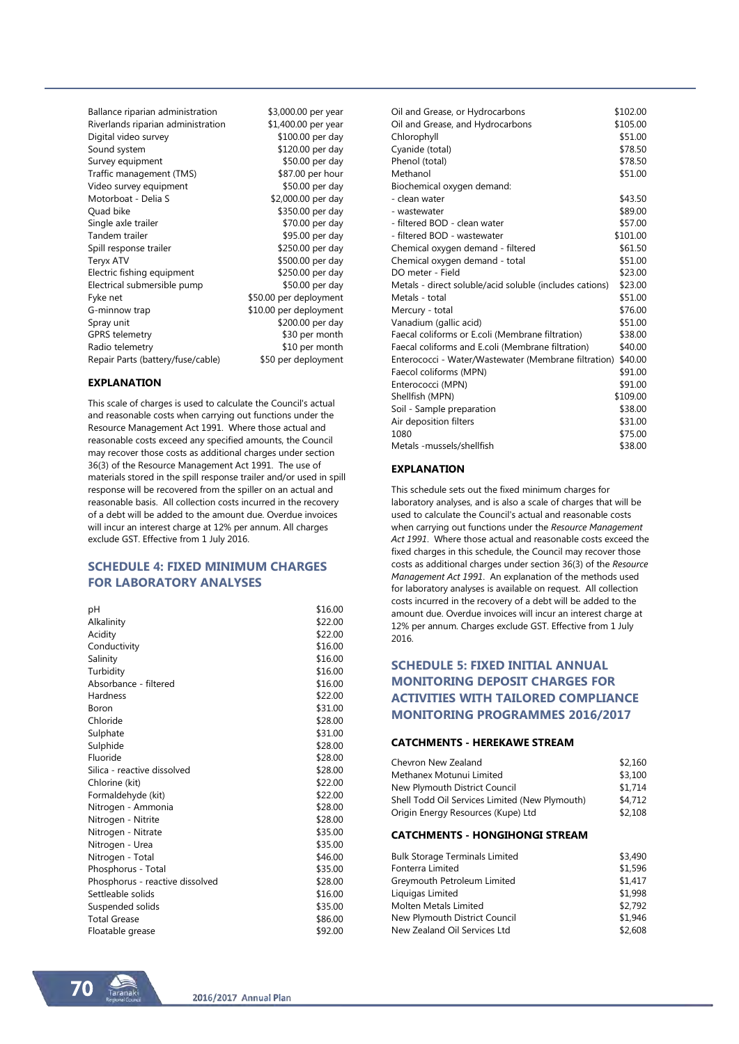Ballance riparian administration \$3,000.00 per year Riverlands riparian administration \$1,400.00 per year Digital video survey \$100.00 per day Sound system \$120.00 per day Survey equipment \$50.00 per day Traffic management (TMS) \$87.00 per hour Video survey equipment \$50.00 per day Motorboat - Delia S \$2,000.00 per day \$350.00 per day<br>\$70.00 per day Single axle trailer Tandem trailer \$95.00 per day Spill response trailer \$250.00 per day Teryx ATV \$500.00 per day Electric fishing equipment \$250.00 per day Electrical submersible pump \$50.00 per day Fyke net  $$50.00$  per deployment G-minnow trap \$10.00 per deployment Spray unit \$200.00 per day GPRS telemetry 630 per month Radio telemetry \$10 per month Repair Parts (battery/fuse/cable) \$50 per deployment

#### **EXPLANATION**

This scale of charges is used to calculate the Council's actual and reasonable costs when carrying out functions under the Resource Management Act 1991. Where those actual and reasonable costs exceed any specified amounts, the Council may recover those costs as additional charges under section 36(3) of the Resource Management Act 1991. The use of materials stored in the spill response trailer and/or used in spill response will be recovered from the spiller on an actual and reasonable basis. All collection costs incurred in the recovery of a debt will be added to the amount due. Overdue invoices will incur an interest charge at 12% per annum. All charges exclude GST. Effective from 1 July 2016.

# **SCHEDULE 4: FIXED MINIMUM CHARGES FOR LABORATORY ANALYSES**

| рH                              | \$16.00 |
|---------------------------------|---------|
| Alkalinity                      | \$22.00 |
| Acidity                         | \$22.00 |
| Conductivity                    | \$16.00 |
| Salinity                        | \$16.00 |
| Turbidity                       | \$16.00 |
| Absorbance - filtered           | \$16.00 |
| Hardness                        | \$22.00 |
| Boron                           | \$31.00 |
| Chloride                        | \$28.00 |
| Sulphate                        | \$31.00 |
| Sulphide                        | \$28.00 |
| Fluoride                        | \$28.00 |
| Silica - reactive dissolved     | \$28.00 |
| Chlorine (kit)                  | \$22.00 |
| Formaldehyde (kit)              | \$22.00 |
| Nitrogen - Ammonia              | \$28.00 |
| Nitrogen - Nitrite              | \$28.00 |
| Nitrogen - Nitrate              | \$35.00 |
| Nitrogen - Urea                 | \$35.00 |
| Nitrogen - Total                | \$46.00 |
| Phosphorus - Total              | \$35.00 |
| Phosphorus - reactive dissolved | \$28.00 |
| Settleable solids               | \$16.00 |
| Suspended solids                | \$35.00 |
| <b>Total Grease</b>             | \$86.00 |
| Floatable grease                | \$92.00 |

| Oil and Grease, or Hydrocarbons                         | \$102.00 |
|---------------------------------------------------------|----------|
| Oil and Grease, and Hydrocarbons                        | \$105.00 |
| Chlorophyll                                             | \$51.00  |
| Cyanide (total)                                         | \$78.50  |
| Phenol (total)                                          | \$78.50  |
| Methanol                                                | \$51.00  |
| Biochemical oxygen demand:                              |          |
| - clean water                                           | \$43.50  |
| - wastewater                                            | \$89.00  |
| - filtered BOD - clean water                            | \$57.00  |
| - filtered BOD - wastewater                             | \$101.00 |
| Chemical oxygen demand - filtered                       | \$61.50  |
| Chemical oxygen demand - total                          | \$51.00  |
| DO meter - Field                                        | \$23.00  |
| Metals - direct soluble/acid soluble (includes cations) | \$23.00  |
| Metals - total                                          | \$51.00  |
| Mercury - total                                         | \$76.00  |
| Vanadium (gallic acid)                                  | \$51.00  |
| Faecal coliforms or E.coli (Membrane filtration)        | \$38.00  |
| Faecal coliforms and E.coli (Membrane filtration)       | \$40.00  |
| Enterococci - Water/Wastewater (Membrane filtration)    | \$40.00  |
| Faecol coliforms (MPN)                                  | \$91.00  |
| Enterococci (MPN)                                       | \$91.00  |
| Shellfish (MPN)                                         | \$109.00 |
| Soil - Sample preparation                               | \$38.00  |
| Air deposition filters                                  | \$31.00  |
| 1080                                                    | \$75.00  |
| Metals -mussels/shellfish                               | \$38.00  |

#### **EXPLANATION**

This schedule sets out the fixed minimum charges for laboratory analyses, and is also a scale of charges that will be used to calculate the Council's actual and reasonable costs when carrying out functions under the *Resource Management Act 1991*. Where those actual and reasonable costs exceed the fixed charges in this schedule, the Council may recover those costs as additional charges under section 36(3) of the *Resource Management Act 1991*. An explanation of the methods used for laboratory analyses is available on request. All collection costs incurred in the recovery of a debt will be added to the amount due. Overdue invoices will incur an interest charge at 12% per annum. Charges exclude GST. Effective from 1 July 2016.

# **SCHEDULE 5: FIXED INITIAL ANNUAL MONITORING DEPOSIT CHARGES FOR ACTIVITIES WITH TAILORED COMPLIANCE MONITORING PROGRAMMES 2016/2017**

#### **CATCHMENTS - HEREKAWE STREAM**

| Chevron New Zealand                            | \$2.160 |
|------------------------------------------------|---------|
| Methanex Motunui Limited                       | \$3,100 |
| New Plymouth District Council                  | \$1,714 |
| Shell Todd Oil Services Limited (New Plymouth) | \$4,712 |
| Origin Energy Resources (Kupe) Ltd             | \$2.108 |

#### **CATCHMENTS - HONGIHONGI STREAM**

| <b>Bulk Storage Terminals Limited</b> | \$3,490 |
|---------------------------------------|---------|
| Fonterra Limited                      | \$1,596 |
| Greymouth Petroleum Limited           | \$1,417 |
| Liquigas Limited                      | \$1,998 |
| Molten Metals Limited                 | \$2.792 |
| New Plymouth District Council         | \$1,946 |
| New Zealand Oil Services Ltd          | \$2,608 |
|                                       |         |

70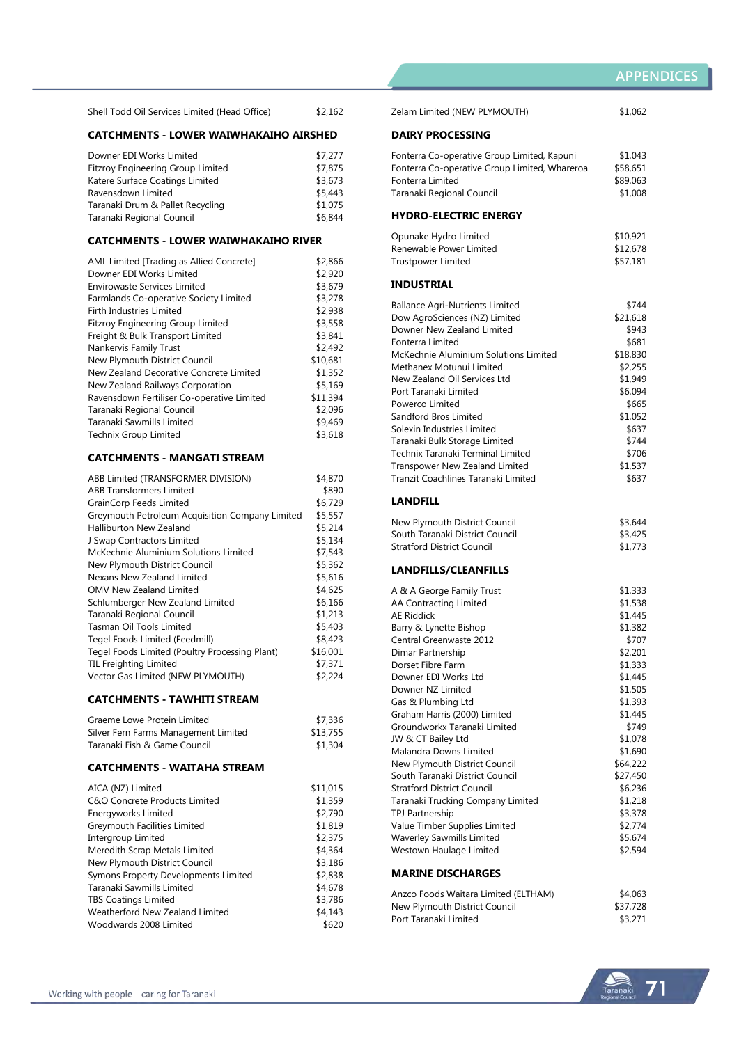| \$2,162<br>Shell Todd Oil Services Limited (Head Office) |
|----------------------------------------------------------|
|----------------------------------------------------------|

## **CATCHMENTS - LOWER WAIWHAKAIHO AIRSHED**

| Downer EDI Works Limited                 | \$7,277 |
|------------------------------------------|---------|
| <b>Fitzroy Engineering Group Limited</b> | \$7,875 |
| Katere Surface Coatings Limited          | \$3,673 |
| Ravensdown Limited                       | \$5,443 |
| Taranaki Drum & Pallet Recycling         | \$1,075 |
| Taranaki Regional Council                | \$6,844 |

## **CATCHMENTS - LOWER WAIWHAKAIHO RIVER**

| AML Limited [Trading as Allied Concrete]   | \$2,866  |
|--------------------------------------------|----------|
| Downer EDI Works Limited                   | \$2,920  |
| Envirowaste Services Limited               | \$3.679  |
| Farmlands Co-operative Society Limited     | \$3,278  |
| <b>Firth Industries Limited</b>            | \$2.938  |
| <b>Fitzroy Engineering Group Limited</b>   | \$3,558  |
| Freight & Bulk Transport Limited           | \$3,841  |
| Nankervis Family Trust                     | \$2,492  |
| New Plymouth District Council              | \$10.681 |
| New Zealand Decorative Concrete Limited    | \$1,352  |
| New Zealand Railways Corporation           | \$5,169  |
| Ravensdown Fertiliser Co-operative Limited | \$11,394 |
| Taranaki Regional Council                  | \$2.096  |
| Taranaki Sawmills Limited                  | \$9,469  |
| <b>Technix Group Limited</b>               | \$3,618  |
|                                            |          |

### **CATCHMENTS - MANGATI STREAM**

| ABB Limited (TRANSFORMER DIVISION)              | \$4,870  |
|-------------------------------------------------|----------|
| <b>ABB Transformers Limited</b>                 | \$890    |
| <b>GrainCorp Feeds Limited</b>                  | \$6.729  |
| Greymouth Petroleum Acquisition Company Limited | \$5,557  |
| Halliburton New Zealand                         | \$5,214  |
| J Swap Contractors Limited                      | \$5,134  |
| McKechnie Aluminium Solutions Limited           | \$7,543  |
| New Plymouth District Council                   | \$5,362  |
| Nexans New Zealand Limited                      | \$5,616  |
| <b>OMV New Zealand Limited</b>                  | \$4,625  |
| Schlumberger New Zealand Limited                | \$6,166  |
| Taranaki Regional Council                       | \$1,213  |
| Tasman Oil Tools Limited                        | \$5,403  |
| Tegel Foods Limited (Feedmill)                  | \$8,423  |
| Tegel Foods Limited (Poultry Processing Plant)  | \$16,001 |
| <b>TIL Freighting Limited</b>                   | \$7,371  |
| Vector Gas Limited (NEW PLYMOUTH)               | \$2,224  |
|                                                 |          |

## **CATCHMENTS - TAWHITI STREAM**

| Graeme Lowe Protein Limited          | \$7,336  |
|--------------------------------------|----------|
| Silver Fern Farms Management Limited | \$13,755 |
| Taranaki Fish & Game Council         | \$1,304  |

## **CATCHMENTS - WAITAHA STREAM**

| AICA (NZ) Limited                    | \$11.015 |
|--------------------------------------|----------|
| C&O Concrete Products Limited        | \$1,359  |
| Energyworks Limited                  | \$2,790  |
| Greymouth Facilities Limited         | \$1,819  |
| Intergroup Limited                   | \$2,375  |
| Meredith Scrap Metals Limited        | \$4,364  |
| New Plymouth District Council        | \$3.186  |
| Symons Property Developments Limited | \$2,838  |
| Taranaki Sawmills Limited            | \$4,678  |
| <b>TBS Coatings Limited</b>          | \$3,786  |
| Weatherford New Zealand Limited      | \$4,143  |
| Woodwards 2008 Limited               | \$620    |

| Zelam Limited (NEW PLYMOUTH)                   | \$1,062  |
|------------------------------------------------|----------|
| <b>DAIRY PROCESSING</b>                        |          |
| Fonterra Co-operative Group Limited, Kapuni    | \$1,043  |
| Fonterra Co-operative Group Limited, Whareroa  | \$58,651 |
| Fonterra Limited                               | \$89,063 |
| Taranaki Regional Council                      | \$1,008  |
| <b>HYDRO-ELECTRIC ENERGY</b>                   |          |
| Opunake Hydro Limited                          | \$10,921 |
| Renewable Power Limited                        | \$12,678 |
| <b>Trustpower Limited</b>                      | \$57,181 |
| INDUSTRIAL                                     |          |
|                                                |          |
| <b>Ballance Agri-Nutrients Limited</b>         | \$744    |
| Dow AgroSciences (NZ) Limited                  | \$21,618 |
| Downer New Zealand Limited<br>Fonterra Limited | \$943    |
|                                                | \$681    |
| McKechnie Aluminium Solutions Limited          | \$18,830 |
| Methanex Motunui Limited                       | \$2,255  |
| New Zealand Oil Services Ltd                   | \$1,949  |
| Port Taranaki Limited                          | \$6,094  |
| Powerco Limited                                | \$665    |
| Sandford Bros Limited                          | \$1,052  |
| Solexin Industries Limited                     | \$637    |
| Taranaki Bulk Storage Limited                  | \$744    |
| Technix Taranaki Terminal Limited              | \$706    |
| Transpower New Zealand Limited                 | \$1,537  |
| Tranzit Coachlines Taranaki Limited            | \$637    |
| <b>LANDFILL</b>                                |          |
| New Plymouth District Council                  | \$3,644  |
| South Taranaki District Council                | \$3,425  |
| <b>Stratford District Council</b>              | \$1,773  |
|                                                |          |
| LANDFILLS/CLEANFILLS                           |          |
| A & A George Family Trust                      | \$1,333  |
| <b>AA Contracting Limited</b>                  | \$1,538  |
| <b>AE Riddick</b>                              | \$1,445  |
| Barry & Lynette Bishop                         | \$1,382  |
| Central Greenwaste 2012                        | \$707    |
| Dimar Partnership                              | \$2,201  |
| Dorset Fibre Farm                              | \$1,333  |
| Downer EDI Works Ltd                           | \$1,445  |
| Downer NZ Limited                              | \$1,505  |
| Gas & Plumbing Ltd                             | \$1,393  |
| Graham Harris (2000) Limited                   | \$1,445  |
| Groundworkx Taranaki Limited                   | \$749    |
| JW & CT Bailey Ltd                             | \$1,078  |
| Malandra Downs Limited                         | \$1,690  |
| New Plymouth District Council                  | \$64,222 |
| South Taranaki District Council                | \$27,450 |
| <b>Stratford District Council</b>              | \$6,236  |
| Taranaki Trucking Company Limited              | \$1,218  |
| TPJ Partnership                                | \$3,378  |
| Value Timber Supplies Limited                  | \$2,774  |
| <b>Waverley Sawmills Limited</b>               | \$5,674  |
| Westown Haulage Limited                        | \$2,594  |
|                                                |          |
| <b>MARINE DISCHARGES</b>                       |          |
|                                                |          |

| Anzco Foods Waitara Limited (ELTHAM) | \$4,063  |
|--------------------------------------|----------|
| New Plymouth District Council        | \$37,728 |
| Port Taranaki Limited                | \$3,271  |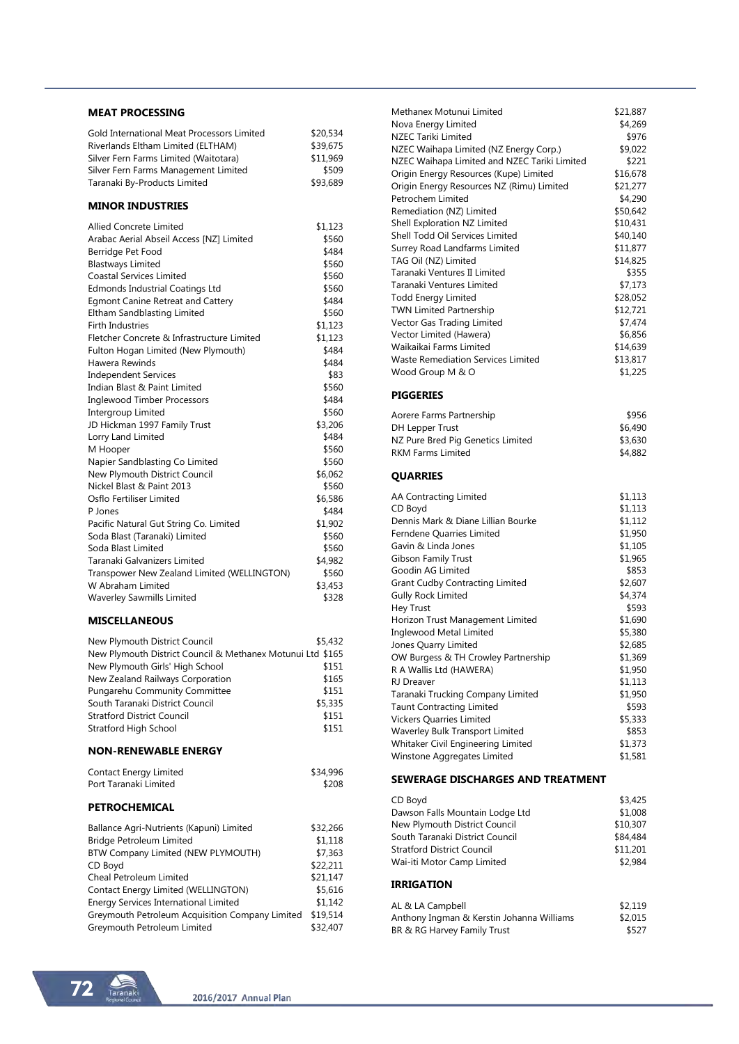#### **MEAT PROCESSING**

| Gold International Meat Processors Limited | \$20,534 |
|--------------------------------------------|----------|
| Riverlands Eltham Limited (ELTHAM)         | \$39.675 |
| Silver Fern Farms Limited (Waitotara)      | \$11.969 |
| Silver Fern Farms Management Limited       | \$509    |
| Taranaki By-Products Limited               | \$93,689 |
|                                            |          |

## **MINOR INDUSTRIES**

| Allied Concrete Limited                     | \$1,123 |
|---------------------------------------------|---------|
| Arabac Aerial Abseil Access [NZ] Limited    | \$560   |
| Berridge Pet Food                           | \$484   |
| <b>Blastways Limited</b>                    | \$560   |
| <b>Coastal Services Limited</b>             | \$560   |
| <b>Edmonds Industrial Coatings Ltd</b>      | \$560   |
| <b>Egmont Canine Retreat and Cattery</b>    | \$484   |
| Eltham Sandblasting Limited                 | \$560   |
| <b>Firth Industries</b>                     | \$1,123 |
| Fletcher Concrete & Infrastructure Limited  | \$1,123 |
| Fulton Hogan Limited (New Plymouth)         | \$484   |
| Hawera Rewinds                              | \$484   |
| <b>Independent Services</b>                 | \$83    |
| Indian Blast & Paint Limited                | \$560   |
| <b>Inglewood Timber Processors</b>          | \$484   |
| Intergroup Limited                          | \$560   |
| JD Hickman 1997 Family Trust                | \$3,206 |
| Lorry Land Limited                          | \$484   |
| M Hooper                                    | \$560   |
| Napier Sandblasting Co Limited              | \$560   |
| New Plymouth District Council               | \$6,062 |
| Nickel Blast & Paint 2013                   | \$560   |
| Osflo Fertiliser Limited                    | \$6,586 |
| P Jones                                     | \$484   |
| Pacific Natural Gut String Co. Limited      | \$1,902 |
| Soda Blast (Taranaki) Limited               | \$560   |
| Soda Blast Limited                          | \$560   |
| Taranaki Galvanizers Limited                | \$4,982 |
| Transpower New Zealand Limited (WELLINGTON) | \$560   |
| W Abraham Limited                           | \$3,453 |
| <b>Waverley Sawmills Limited</b>            | \$328   |

### **MISCELLANEOUS**

| New Plymouth District Council                              | \$5.432 |
|------------------------------------------------------------|---------|
| New Plymouth District Council & Methanex Motunui Ltd \$165 |         |
| New Plymouth Girls' High School                            | \$151   |
| New Zealand Railways Corporation                           | \$165   |
| Pungarehu Community Committee                              | \$151   |
| South Taranaki District Council                            | \$5,335 |
| <b>Stratford District Council</b>                          | \$151   |
| Stratford High School                                      | \$151   |

#### **NON-RENEWABLE ENERGY**

| \$34,996 |
|----------|
| \$208    |
|          |

# **PETROCHEMICAL**

| Ballance Agri-Nutrients (Kapuni) Limited        | \$32,266 |
|-------------------------------------------------|----------|
| <b>Bridge Petroleum Limited</b>                 | \$1.118  |
| BTW Company Limited (NEW PLYMOUTH)              | \$7,363  |
| CD Boyd                                         | \$22.211 |
| Cheal Petroleum Limited                         | \$21,147 |
| Contact Energy Limited (WELLINGTON)             | \$5.616  |
| <b>Energy Services International Limited</b>    | \$1.142  |
| Greymouth Petroleum Acquisition Company Limited | \$19.514 |
| Greymouth Petroleum Limited                     | \$32,407 |

| Methanex Motunui Limited                                                                           | \$21,887             |
|----------------------------------------------------------------------------------------------------|----------------------|
| Nova Energy Limited                                                                                | \$4,269              |
| <b>NZEC Tariki Limited</b>                                                                         | \$976                |
| NZEC Waihapa Limited (NZ Energy Corp.)                                                             | \$9,022              |
| NZEC Waihapa Limited and NZEC Tariki Limited                                                       | \$221                |
| Origin Energy Resources (Kupe) Limited<br>Origin Energy Resources NZ (Rimu) Limited                | \$16,678<br>\$21,277 |
| Petrochem Limited                                                                                  | \$4,290              |
| Remediation (NZ) Limited                                                                           | \$50,642             |
| Shell Exploration NZ Limited                                                                       | \$10,431             |
| Shell Todd Oil Services Limited                                                                    | \$40,140             |
| Surrey Road Landfarms Limited                                                                      | \$11,877             |
| TAG Oil (NZ) Limited                                                                               | \$14,825             |
| Taranaki Ventures II Limited                                                                       | \$355                |
| Taranaki Ventures Limited                                                                          | \$7,173              |
| <b>Todd Energy Limited</b>                                                                         | \$28,052             |
| <b>TWN Limited Partnership</b>                                                                     | \$12,721             |
| Vector Gas Trading Limited                                                                         | \$7,474              |
| Vector Limited (Hawera)                                                                            | \$6,856              |
| Waikaikai Farms Limited                                                                            | \$14,639             |
| <b>Waste Remediation Services Limited</b>                                                          | \$13,817             |
| Wood Group M & O                                                                                   | \$1,225              |
| <b>PIGGERIES</b>                                                                                   |                      |
| Aorere Farms Partnership                                                                           | \$956                |
| DH Lepper Trust                                                                                    | \$6,490              |
| NZ Pure Bred Pig Genetics Limited                                                                  | \$3,630              |
| <b>RKM Farms Limited</b>                                                                           | \$4,882              |
| <b>QUARRIES</b>                                                                                    |                      |
| AA Contracting Limited                                                                             | \$1,113              |
| CD Boyd                                                                                            | \$1,113              |
| Dennis Mark & Diane Lillian Bourke                                                                 | \$1,112              |
| Ferndene Quarries Limited                                                                          | \$1,950              |
| Gavin & Linda Jones                                                                                | \$1,105              |
| <b>Gibson Family Trust</b>                                                                         | \$1,965              |
| Goodin AG Limited                                                                                  | \$853                |
| <b>Grant Cudby Contracting Limited</b>                                                             | \$2,607              |
| <b>Gully Rock Limited</b><br>Hey Trust                                                             | \$4,374              |
| Horizon Trust Management Limited                                                                   | \$593<br>\$1,690     |
| Inglewood Metal Limited                                                                            | \$5,380              |
| Jones Quarry Limited                                                                               | \$2,685              |
| OW Burgess & TH Crowley Partnership                                                                | \$1,369              |
| R A Wallis Ltd (HAWERA)                                                                            | \$1,950              |
| RJ Dreaver                                                                                         | \$1,113              |
| Taranaki Trucking Company Limited                                                                  | \$1,950              |
| <b>Taunt Contracting Limited</b>                                                                   | \$593                |
| <b>Vickers Quarries Limited</b>                                                                    | \$5,333              |
| Waverley Bulk Transport Limited                                                                    | \$853                |
| Whitaker Civil Engineering Limited                                                                 | \$1,373              |
| Winstone Aggregates Limited                                                                        | \$1,581              |
| SEWERAGE DISCHARGES AND TREATMENT                                                                  |                      |
| CD Boyd                                                                                            | \$3,425              |
| Dawson Falls Mountain Lodge Ltd                                                                    | \$1,008              |
| New Plymouth District Council                                                                      |                      |
|                                                                                                    | \$10,307             |
|                                                                                                    | \$84,484             |
| South Taranaki District Council<br><b>Stratford District Council</b><br>Wai-iti Motor Camp Limited | \$11,201<br>\$2,984  |

### **IRRIGATION**

| AL & LA Campbell                          | \$2.119 |
|-------------------------------------------|---------|
| Anthony Ingman & Kerstin Johanna Williams | \$2,015 |
| BR & RG Harvey Family Trust               | \$527   |

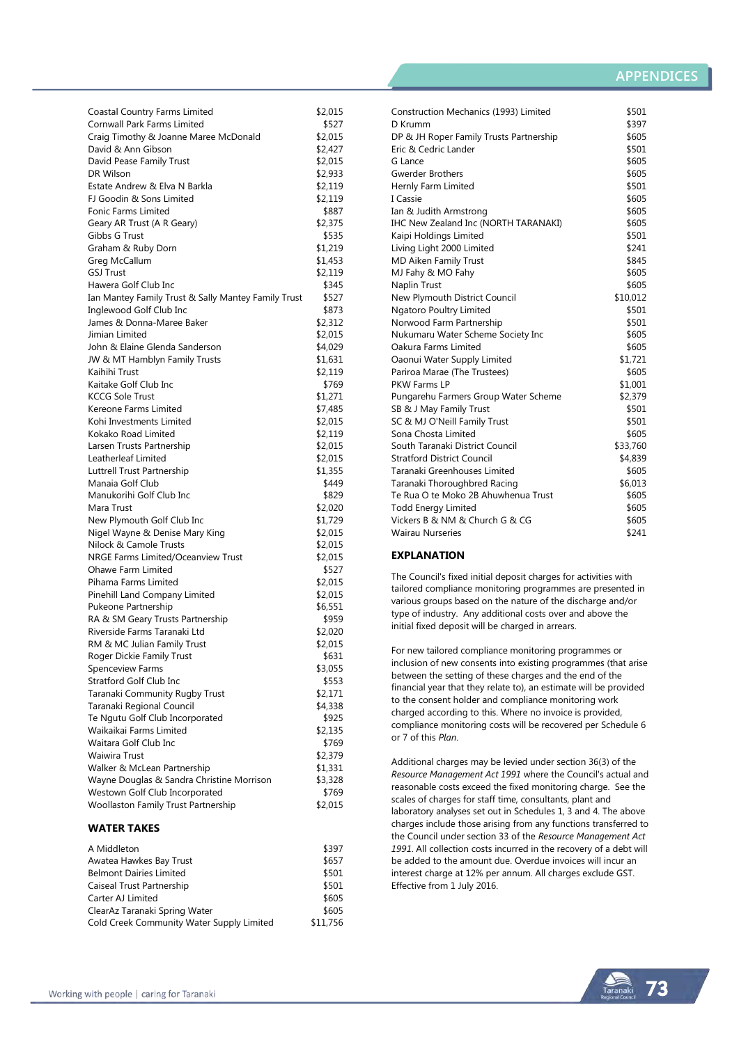# **APPENDICES**

| Coastal Country Farms Limited                       | \$2,015          |
|-----------------------------------------------------|------------------|
| Cornwall Park Farms Limited                         | \$527            |
| Craig Timothy & Joanne Maree McDonald               | \$2,015          |
| David & Ann Gibson                                  | \$2,427          |
| David Pease Family Trust                            | \$2,015          |
| DR Wilson                                           | \$2,933          |
| Estate Andrew & Elva N Barkla                       | \$2,119          |
| FJ Goodin & Sons Limited                            | \$2,119          |
| Fonic Farms Limited                                 | \$887            |
| Geary AR Trust (A R Geary)                          | \$2,375          |
| Gibbs G Trust                                       | \$535            |
| Graham & Ruby Dorn                                  | \$1,219          |
| Greg McCallum                                       | \$1,453          |
| <b>GSJ Trust</b>                                    | \$2,119          |
| Hawera Golf Club Inc                                | \$345            |
|                                                     |                  |
| Ian Mantey Family Trust & Sally Mantey Family Trust | \$527            |
| Inglewood Golf Club Inc                             | \$873<br>\$2,312 |
| James & Donna-Maree Baker                           |                  |
| Jimian Limited                                      | \$2,015          |
| John & Elaine Glenda Sanderson                      | \$4,029          |
| JW & MT Hamblyn Family Trusts                       | \$1,631          |
| Kaihihi Trust                                       | \$2,119          |
| Kaitake Golf Club Inc                               | \$769            |
| <b>KCCG Sole Trust</b>                              | \$1,271          |
| Kereone Farms Limited                               | \$7,485          |
| Kohi Investments Limited                            | \$2,015          |
| Kokako Road Limited                                 | \$2,119          |
| Larsen Trusts Partnership                           | \$2,015          |
| Leatherleaf Limited                                 | \$2,015          |
| Luttrell Trust Partnership                          | \$1,355          |
| Manaia Golf Club                                    | \$449            |
| Manukorihi Golf Club Inc                            | \$829            |
| Mara Trust                                          | \$2,020          |
| New Plymouth Golf Club Inc                          | \$1,729          |
| Nigel Wayne & Denise Mary King                      | \$2,015          |
| Nilock & Camole Trusts                              | \$2,015          |
| NRGE Farms Limited/Oceanview Trust                  | \$2,015          |
| Ohawe Farm Limited                                  | \$527            |
| Pihama Farms Limited                                | \$2,015          |
| Pinehill Land Company Limited                       | \$2,015          |
| Pukeone Partnership                                 | \$6,551          |
| RA & SM Geary Trusts Partnership                    | \$959            |
| Riverside Farms Taranaki Ltd                        | \$2,020          |
| RM & MC Julian Family Trust                         | \$2,015          |
| Roger Dickie Family Trust                           | \$631            |
| Spenceview Farms                                    | \$3,055          |
| Stratford Golf Club Inc                             | \$553            |
| Taranaki Community Rugby Trust                      | \$2,171          |
| Taranaki Regional Council                           | \$4,338          |
| Te Ngutu Golf Club Incorporated                     | \$925            |
| Waikaikai Farms Limited                             | \$2,135          |
| Waitara Golf Club Inc                               | \$769            |
| Waiwira Trust                                       | \$2,379          |
| Walker & McLean Partnership                         | \$1,331          |
| Wayne Douglas & Sandra Christine Morrison           | \$3,328          |
| Westown Golf Club Incorporated                      | \$769            |
| Woollaston Family Trust Partnership                 | \$2,015          |
|                                                     |                  |
| <b>WATER TAKES</b>                                  |                  |
| A Middleton                                         | \$397            |

| A Mildaleton                              | <b>3397</b> |
|-------------------------------------------|-------------|
| Awatea Hawkes Bay Trust                   | \$657       |
| <b>Belmont Dairies Limited</b>            | \$501       |
| Caiseal Trust Partnership                 | \$501       |
| Carter AJ Limited                         | \$605       |
| ClearAz Taranaki Spring Water             | \$605       |
| Cold Creek Community Water Supply Limited | \$11,756    |
|                                           |             |

| Construction Mechanics (1993) Limited   | \$501    |
|-----------------------------------------|----------|
| D Krumm                                 | \$397    |
| DP & JH Roper Family Trusts Partnership | \$605    |
| Eric & Cedric Lander                    | \$501    |
| G Lance                                 | \$605    |
| <b>Gwerder Brothers</b>                 | \$605    |
| Hernly Farm Limited                     | \$501    |
| I Cassie                                | \$605    |
| Ian & Judith Armstrong                  | \$605    |
| IHC New Zealand Inc (NORTH TARANAKI)    | \$605    |
| Kaipi Holdings Limited                  | \$501    |
| Living Light 2000 Limited               | \$241    |
| <b>MD Aiken Family Trust</b>            | \$845    |
| MJ Fahy & MO Fahy                       | \$605    |
| Naplin Trust                            | \$605    |
| New Plymouth District Council           | \$10,012 |
| Ngatoro Poultry Limited                 | \$501    |
| Norwood Farm Partnership                | \$501    |
| Nukumaru Water Scheme Society Inc       | \$605    |
| Oakura Farms Limited                    | \$605    |
| Oaonui Water Supply Limited             | \$1,721  |
| Pariroa Marae (The Trustees)            | \$605    |
| PKW Farms LP                            | \$1,001  |
| Pungarehu Farmers Group Water Scheme    | \$2,379  |
| SB & J May Family Trust                 | \$501    |
| SC & MJ O'Neill Family Trust            | \$501    |
| Sona Chosta Limited                     | \$605    |
| South Taranaki District Council         | \$33,760 |
| <b>Stratford District Council</b>       | \$4,839  |
| Taranaki Greenhouses Limited            | \$605    |
| Taranaki Thoroughbred Racing            | \$6,013  |
| Te Rua O te Moko 2B Ahuwhenua Trust     | \$605    |
| <b>Todd Energy Limited</b>              | \$605    |
| Vickers B & NM & Church G & CG          | \$605    |
| <b>Wairau Nurseries</b>                 | \$241    |
|                                         |          |

### **EXPLANATION**

The Council's fixed initial deposit charges for activities with tailored compliance monitoring programmes are presented in various groups based on the nature of the discharge and/or type of industry. Any additional costs over and above the initial fixed deposit will be charged in arrears.

For new tailored compliance monitoring programmes or inclusion of new consents into existing programmes (that arise between the setting of these charges and the end of the financial year that they relate to), an estimate will be provided to the consent holder and compliance monitoring work charged according to this. Where no invoice is provided, compliance monitoring costs will be recovered per Schedule 6 or 7 of this *Plan*.

Additional charges may be levied under section 36(3) of the *Resource Management Act 1991* where the Council's actual and reasonable costs exceed the fixed monitoring charge. See the scales of charges for staff time, consultants, plant and laboratory analyses set out in Schedules 1, 3 and 4. The above charges include those arising from any functions transferred to the Council under section 33 of the *Resource Management Act 1991*. All collection costs incurred in the recovery of a debt will be added to the amount due. Overdue invoices will incur an interest charge at 12% per annum. All charges exclude GST. Effective from 1 July 2016.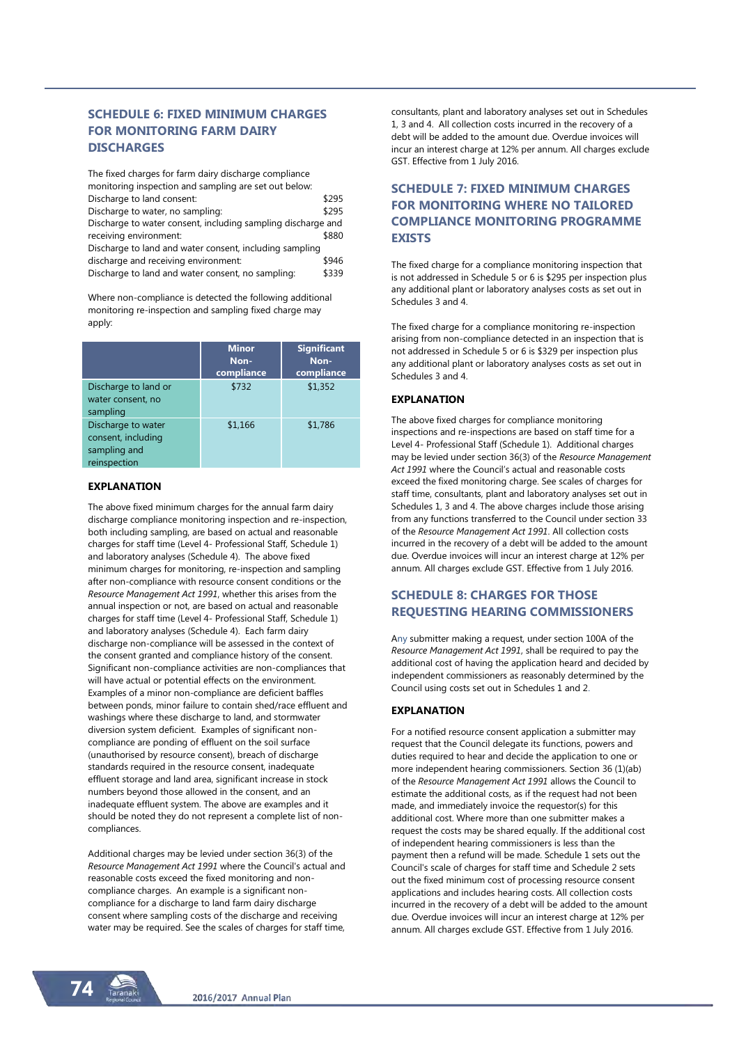# **SCHEDULE 6: FIXED MINIMUM CHARGES FOR MONITORING FARM DAIRY DISCHARGES**

The fixed charges for farm dairy discharge compliance monitoring inspection and sampling are set out below: Discharge to land consent: \$295 Discharge to water, no sampling:  $$295$ Discharge to water consent, including sampling discharge and receiving environment: \$880 Discharge to land and water consent, including sampling discharge and receiving environment:  $$946$ Discharge to land and water consent, no sampling: \$339

Where non-compliance is detected the following additional monitoring re-inspection and sampling fixed charge may apply:

|                                                                          | <b>Minor</b><br>Non-<br>compliance | <b>Significant</b><br>Non-<br>compliance |
|--------------------------------------------------------------------------|------------------------------------|------------------------------------------|
| Discharge to land or<br>water consent, no<br>sampling                    | \$732                              | \$1,352                                  |
| Discharge to water<br>consent, including<br>sampling and<br>reinspection | \$1,166                            | \$1,786                                  |

#### **EXPLANATION**

The above fixed minimum charges for the annual farm dairy discharge compliance monitoring inspection and re-inspection, both including sampling, are based on actual and reasonable charges for staff time (Level 4- Professional Staff, Schedule 1) and laboratory analyses (Schedule 4). The above fixed minimum charges for monitoring, re-inspection and sampling after non-compliance with resource consent conditions or the *Resource Management Act 1991*, whether this arises from the annual inspection or not, are based on actual and reasonable charges for staff time (Level 4- Professional Staff, Schedule 1) and laboratory analyses (Schedule 4). Each farm dairy discharge non-compliance will be assessed in the context of the consent granted and compliance history of the consent. Significant non-compliance activities are non-compliances that will have actual or potential effects on the environment. Examples of a minor non-compliance are deficient baffles between ponds, minor failure to contain shed/race effluent and washings where these discharge to land, and stormwater diversion system deficient. Examples of significant noncompliance are ponding of effluent on the soil surface (unauthorised by resource consent), breach of discharge standards required in the resource consent, inadequate effluent storage and land area, significant increase in stock numbers beyond those allowed in the consent, and an inadequate effluent system. The above are examples and it should be noted they do not represent a complete list of noncompliances.

Additional charges may be levied under section 36(3) of the *Resource Management Act 1991* where the Council's actual and reasonable costs exceed the fixed monitoring and noncompliance charges. An example is a significant noncompliance for a discharge to land farm dairy discharge consent where sampling costs of the discharge and receiving water may be required. See the scales of charges for staff time, consultants, plant and laboratory analyses set out in Schedules 1, 3 and 4. All collection costs incurred in the recovery of a debt will be added to the amount due. Overdue invoices will incur an interest charge at 12% per annum. All charges exclude GST. Effective from 1 July 2016.

# **SCHEDULE 7: FIXED MINIMUM CHARGES FOR MONITORING WHERE NO TAILORED COMPLIANCE MONITORING PROGRAMME EXISTS**

The fixed charge for a compliance monitoring inspection that is not addressed in Schedule 5 or 6 is \$295 per inspection plus any additional plant or laboratory analyses costs as set out in Schedules 3 and 4.

The fixed charge for a compliance monitoring re-inspection arising from non-compliance detected in an inspection that is not addressed in Schedule 5 or 6 is \$329 per inspection plus any additional plant or laboratory analyses costs as set out in Schedules 3 and 4.

#### **EXPLANATION**

The above fixed charges for compliance monitoring inspections and re-inspections are based on staff time for a Level 4- Professional Staff (Schedule 1). Additional charges may be levied under section 36(3) of the *Resource Management Act 1991* where the Council's actual and reasonable costs exceed the fixed monitoring charge. See scales of charges for staff time, consultants, plant and laboratory analyses set out in Schedules 1, 3 and 4. The above charges include those arising from any functions transferred to the Council under section 33 of the *Resource Management Act 1991*. All collection costs incurred in the recovery of a debt will be added to the amount due. Overdue invoices will incur an interest charge at 12% per annum. All charges exclude GST. Effective from 1 July 2016.

# **SCHEDULE 8: CHARGES FOR THOSE REQUESTING HEARING COMMISSIONERS**

Any submitter making a request, under section 100A of the *Resource Management Act 1991*, shall be required to pay the additional cost of having the application heard and decided by independent commissioners as reasonably determined by the Council using costs set out in Schedules 1 and 2.

## **EXPLANATION**

For a notified resource consent application a submitter may request that the Council delegate its functions, powers and duties required to hear and decide the application to one or more independent hearing commissioners. Section 36 (1)(ab) of the *Resource Management Act 1991* allows the Council to estimate the additional costs, as if the request had not been made, and immediately invoice the requestor(s) for this additional cost. Where more than one submitter makes a request the costs may be shared equally. If the additional cost of independent hearing commissioners is less than the payment then a refund will be made. Schedule 1 sets out the Council's scale of charges for staff time and Schedule 2 sets out the fixed minimum cost of processing resource consent applications and includes hearing costs. All collection costs incurred in the recovery of a debt will be added to the amount due. Overdue invoices will incur an interest charge at 12% per annum. All charges exclude GST. Effective from 1 July 2016.

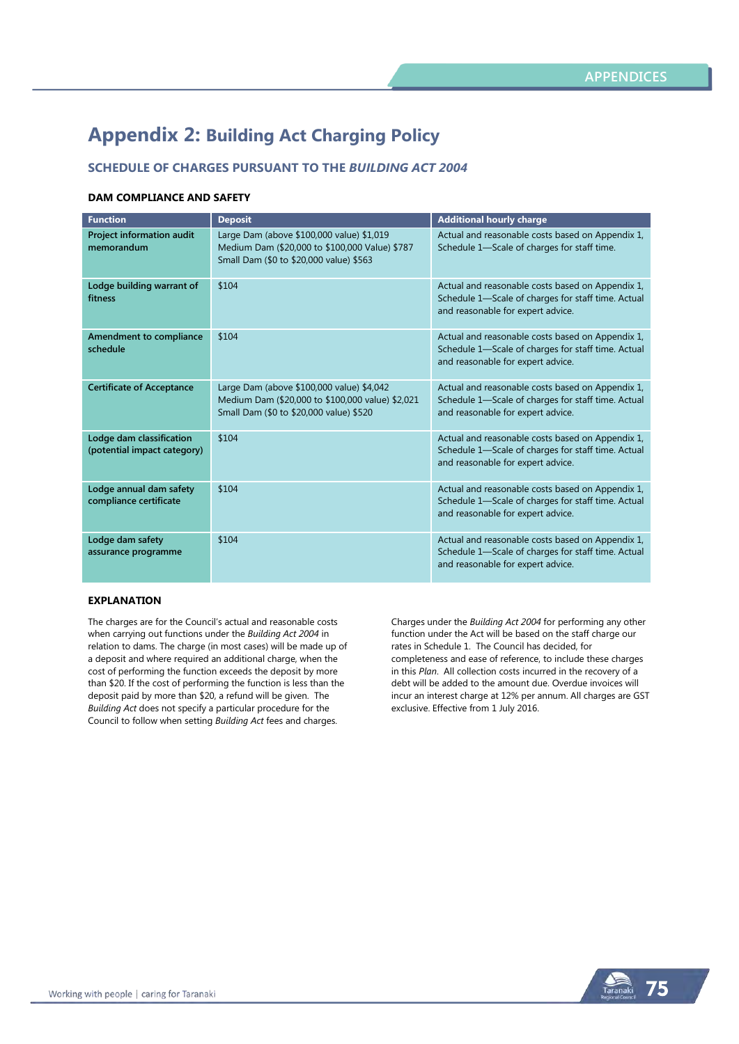# **Appendix 2: Building Act Charging Policy**

# **SCHEDULE OF CHARGES PURSUANT TO THE** *BUILDING ACT 2004*

### **DAM COMPLIANCE AND SAFETY**

| <b>Function</b>                                         | <b>Deposit</b>                                                                                                                           | <b>Additional hourly charge</b>                                                                                                             |
|---------------------------------------------------------|------------------------------------------------------------------------------------------------------------------------------------------|---------------------------------------------------------------------------------------------------------------------------------------------|
| Project information audit<br>memorandum                 | Large Dam (above \$100,000 value) \$1,019<br>Medium Dam (\$20,000 to \$100,000 Value) \$787<br>Small Dam (\$0 to \$20,000 value) \$563   | Actual and reasonable costs based on Appendix 1,<br>Schedule 1-Scale of charges for staff time.                                             |
| Lodge building warrant of<br>fitness                    | \$104                                                                                                                                    | Actual and reasonable costs based on Appendix 1,<br>Schedule 1-Scale of charges for staff time. Actual<br>and reasonable for expert advice. |
| Amendment to compliance<br>schedule                     | \$104                                                                                                                                    | Actual and reasonable costs based on Appendix 1,<br>Schedule 1-Scale of charges for staff time. Actual<br>and reasonable for expert advice. |
| <b>Certificate of Acceptance</b>                        | Large Dam (above \$100,000 value) \$4,042<br>Medium Dam (\$20,000 to \$100,000 value) \$2,021<br>Small Dam (\$0 to \$20,000 value) \$520 | Actual and reasonable costs based on Appendix 1,<br>Schedule 1-Scale of charges for staff time. Actual<br>and reasonable for expert advice. |
| Lodge dam classification<br>(potential impact category) | \$104                                                                                                                                    | Actual and reasonable costs based on Appendix 1,<br>Schedule 1-Scale of charges for staff time. Actual<br>and reasonable for expert advice. |
| Lodge annual dam safety<br>compliance certificate       | \$104                                                                                                                                    | Actual and reasonable costs based on Appendix 1,<br>Schedule 1-Scale of charges for staff time. Actual<br>and reasonable for expert advice. |
| Lodge dam safety<br>assurance programme                 | \$104                                                                                                                                    | Actual and reasonable costs based on Appendix 1,<br>Schedule 1-Scale of charges for staff time. Actual<br>and reasonable for expert advice. |

#### **EXPLANATION**

The charges are for the Council's actual and reasonable costs when carrying out functions under the *Building Act 2004* in relation to dams. The charge (in most cases) will be made up of a deposit and where required an additional charge, when the cost of performing the function exceeds the deposit by more than \$20. If the cost of performing the function is less than the deposit paid by more than \$20, a refund will be given. The *Building Act* does not specify a particular procedure for the Council to follow when setting *Building Act* fees and charges.

Charges under the *Building Act 2004* for performing any other function under the Act will be based on the staff charge our rates in Schedule 1. The Council has decided, for completeness and ease of reference, to include these charges in this *Plan*. All collection costs incurred in the recovery of a debt will be added to the amount due. Overdue invoices will incur an interest charge at 12% per annum. All charges are GST exclusive. Effective from 1 July 2016.